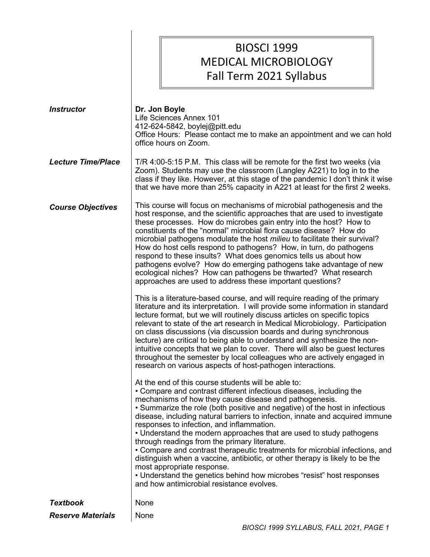BIOSCI 1999 MEDICAL MICROBIOLOGY Fall Term 2021 Syllabus

| <b>Instructor</b>         | Dr. Jon Boyle<br>Life Sciences Annex 101<br>412-624-5842, boylej@pitt.edu<br>Office Hours: Please contact me to make an appointment and we can hold<br>office hours on Zoom.                                                                                                                                                                                                                                                                                                                                                                                                                                                                                                                                                                                                                                                                                                                                                                                                                                                                                                                                                                                                                                                                                                                                                                                                                                                                                                                                                                                                                                                                                                                                                                                                                                                                                                                                                                                                                                                                                                                                                                                                                                                                |
|---------------------------|---------------------------------------------------------------------------------------------------------------------------------------------------------------------------------------------------------------------------------------------------------------------------------------------------------------------------------------------------------------------------------------------------------------------------------------------------------------------------------------------------------------------------------------------------------------------------------------------------------------------------------------------------------------------------------------------------------------------------------------------------------------------------------------------------------------------------------------------------------------------------------------------------------------------------------------------------------------------------------------------------------------------------------------------------------------------------------------------------------------------------------------------------------------------------------------------------------------------------------------------------------------------------------------------------------------------------------------------------------------------------------------------------------------------------------------------------------------------------------------------------------------------------------------------------------------------------------------------------------------------------------------------------------------------------------------------------------------------------------------------------------------------------------------------------------------------------------------------------------------------------------------------------------------------------------------------------------------------------------------------------------------------------------------------------------------------------------------------------------------------------------------------------------------------------------------------------------------------------------------------|
| <b>Lecture Time/Place</b> | T/R 4:00-5:15 P.M. This class will be remote for the first two weeks (via<br>Zoom). Students may use the classroom (Langley A221) to log in to the<br>class if they like. However, at this stage of the pandemic I don't think it wise<br>that we have more than 25% capacity in A221 at least for the first 2 weeks.                                                                                                                                                                                                                                                                                                                                                                                                                                                                                                                                                                                                                                                                                                                                                                                                                                                                                                                                                                                                                                                                                                                                                                                                                                                                                                                                                                                                                                                                                                                                                                                                                                                                                                                                                                                                                                                                                                                       |
| <b>Course Objectives</b>  | This course will focus on mechanisms of microbial pathogenesis and the<br>host response, and the scientific approaches that are used to investigate<br>these processes. How do microbes gain entry into the host? How to<br>constituents of the "normal" microbial flora cause disease? How do<br>microbial pathogens modulate the host <i>milieu</i> to facilitate their survival?<br>How do host cells respond to pathogens? How, in turn, do pathogens<br>respond to these insults? What does genomics tells us about how<br>pathogens evolve? How do emerging pathogens take advantage of new<br>ecological niches? How can pathogens be thwarted? What research<br>approaches are used to address these important questions?<br>This is a literature-based course, and will require reading of the primary<br>literature and its interpretation. I will provide some information in standard<br>lecture format, but we will routinely discuss articles on specific topics<br>relevant to state of the art research in Medical Microbiology. Participation<br>on class discussions (via discussion boards and during synchronous<br>lecture) are critical to being able to understand and synthesize the non-<br>intuitive concepts that we plan to cover. There will also be guest lectures<br>throughout the semester by local colleagues who are actively engaged in<br>research on various aspects of host-pathogen interactions.<br>At the end of this course students will be able to:<br>• Compare and contrast different infectious diseases, including the<br>mechanisms of how they cause disease and pathogenesis.<br>• Summarize the role (both positive and negative) of the host in infectious<br>disease, including natural barriers to infection, innate and acquired immune<br>responses to infection, and inflammation.<br>• Understand the modern approaches that are used to study pathogens<br>through readings from the primary literature.<br>• Compare and contrast therapeutic treatments for microbial infections, and<br>distinguish when a vaccine, antibiotic, or other therapy is likely to be the<br>most appropriate response.<br>• Understand the genetics behind how microbes "resist" host responses |
|                           | and how antimicrobial resistance evolves.                                                                                                                                                                                                                                                                                                                                                                                                                                                                                                                                                                                                                                                                                                                                                                                                                                                                                                                                                                                                                                                                                                                                                                                                                                                                                                                                                                                                                                                                                                                                                                                                                                                                                                                                                                                                                                                                                                                                                                                                                                                                                                                                                                                                   |
| <b>Textbook</b>           | None                                                                                                                                                                                                                                                                                                                                                                                                                                                                                                                                                                                                                                                                                                                                                                                                                                                                                                                                                                                                                                                                                                                                                                                                                                                                                                                                                                                                                                                                                                                                                                                                                                                                                                                                                                                                                                                                                                                                                                                                                                                                                                                                                                                                                                        |
| <b>Reserve Materials</b>  | None                                                                                                                                                                                                                                                                                                                                                                                                                                                                                                                                                                                                                                                                                                                                                                                                                                                                                                                                                                                                                                                                                                                                                                                                                                                                                                                                                                                                                                                                                                                                                                                                                                                                                                                                                                                                                                                                                                                                                                                                                                                                                                                                                                                                                                        |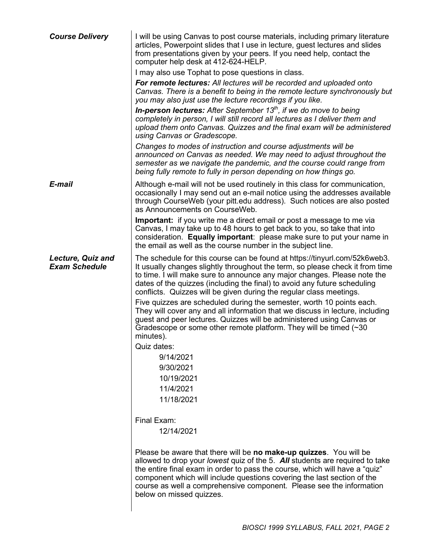| <b>Course Delivery</b>                           | I will be using Canvas to post course materials, including primary literature<br>articles, Powerpoint slides that I use in lecture, guest lectures and slides<br>from presentations given by your peers. If you need help, contact the<br>computer help desk at 412-624-HELP.<br>I may also use Tophat to pose questions in class.<br>For remote lectures: All lectures will be recorded and uploaded onto<br>Canvas. There is a benefit to being in the remote lecture synchronously but<br>you may also just use the lecture recordings if you like.<br><b>In-person lectures:</b> After September 13 <sup>th</sup> , if we do move to being<br>completely in person, I will still record all lectures as I deliver them and<br>upload them onto Canvas. Quizzes and the final exam will be administered                                                                                                  |
|--------------------------------------------------|-------------------------------------------------------------------------------------------------------------------------------------------------------------------------------------------------------------------------------------------------------------------------------------------------------------------------------------------------------------------------------------------------------------------------------------------------------------------------------------------------------------------------------------------------------------------------------------------------------------------------------------------------------------------------------------------------------------------------------------------------------------------------------------------------------------------------------------------------------------------------------------------------------------|
|                                                  | using Canvas or Gradescope.<br>Changes to modes of instruction and course adjustments will be<br>announced on Canvas as needed. We may need to adjust throughout the<br>semester as we navigate the pandemic, and the course could range from<br>being fully remote to fully in person depending on how things go.                                                                                                                                                                                                                                                                                                                                                                                                                                                                                                                                                                                          |
| E-mail                                           | Although e-mail will not be used routinely in this class for communication,<br>occasionally I may send out an e-mail notice using the addresses available<br>through CourseWeb (your pitt.edu address). Such notices are also posted<br>as Announcements on CourseWeb.                                                                                                                                                                                                                                                                                                                                                                                                                                                                                                                                                                                                                                      |
|                                                  | Important: if you write me a direct email or post a message to me via<br>Canvas, I may take up to 48 hours to get back to you, so take that into<br>consideration. Equally important: please make sure to put your name in<br>the email as well as the course number in the subject line.                                                                                                                                                                                                                                                                                                                                                                                                                                                                                                                                                                                                                   |
| <b>Lecture, Quiz and</b><br><b>Exam Schedule</b> | The schedule for this course can be found at https://tinyurl.com/52k6web3.<br>It usually changes slightly throughout the term, so please check it from time<br>to time. I will make sure to announce any major changes. Please note the<br>dates of the quizzes (including the final) to avoid any future scheduling<br>conflicts. Quizzes will be given during the regular class meetings.<br>Five quizzes are scheduled during the semester, worth 10 points each.<br>They will cover any and all information that we discuss in lecture, including<br>guest and peer lectures. Quizzes will be administered using Canvas or<br>Gradescope or some other remote platform. They will be timed $(\sim]30$<br>minutes).<br>Quiz dates:<br>9/14/2021<br>9/30/2021<br>10/19/2021<br>11/4/2021<br>11/18/2021<br>Final Exam:<br>12/14/2021<br>Please be aware that there will be no make-up quizzes. You will be |
|                                                  | allowed to drop your lowest quiz of the 5. All students are required to take<br>the entire final exam in order to pass the course, which will have a "quiz"<br>component which will include questions covering the last section of the<br>course as well a comprehensive component. Please see the information<br>below on missed quizzes.                                                                                                                                                                                                                                                                                                                                                                                                                                                                                                                                                                  |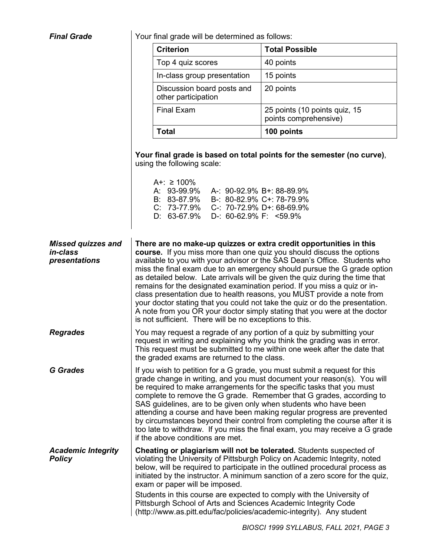**Final Grade**  $\vert$  Your final grade will be determined as follows:

|                                                        | <b>Criterion</b>                                                                                                                                                                                                                                                                                                                                                                                                                                                                                                                                                                                                                                                                                                                                                   | <b>Total Possible</b>                                                                                                                                         |  |
|--------------------------------------------------------|--------------------------------------------------------------------------------------------------------------------------------------------------------------------------------------------------------------------------------------------------------------------------------------------------------------------------------------------------------------------------------------------------------------------------------------------------------------------------------------------------------------------------------------------------------------------------------------------------------------------------------------------------------------------------------------------------------------------------------------------------------------------|---------------------------------------------------------------------------------------------------------------------------------------------------------------|--|
|                                                        | Top 4 quiz scores                                                                                                                                                                                                                                                                                                                                                                                                                                                                                                                                                                                                                                                                                                                                                  | 40 points                                                                                                                                                     |  |
|                                                        | In-class group presentation                                                                                                                                                                                                                                                                                                                                                                                                                                                                                                                                                                                                                                                                                                                                        | 15 points                                                                                                                                                     |  |
|                                                        | Discussion board posts and<br>other participation                                                                                                                                                                                                                                                                                                                                                                                                                                                                                                                                                                                                                                                                                                                  | 20 points                                                                                                                                                     |  |
|                                                        | <b>Final Exam</b>                                                                                                                                                                                                                                                                                                                                                                                                                                                                                                                                                                                                                                                                                                                                                  | 25 points (10 points quiz, 15<br>points comprehensive)                                                                                                        |  |
|                                                        | <b>Total</b>                                                                                                                                                                                                                                                                                                                                                                                                                                                                                                                                                                                                                                                                                                                                                       | 100 points                                                                                                                                                    |  |
|                                                        | using the following scale:<br>$A +: \ge 100\%$<br>A: 93-99.9%<br>A-: 90-92.9% B+: 88-89.9%<br>B: 83-87.9%<br>B-: 80-82.9% C+: 78-79.9%<br>C: 73-77.9% C-: 70-72.9% D+: 68-69.9%<br>D-: $60-62.9\%$ F: <59.9%<br>D: 63-67.9%                                                                                                                                                                                                                                                                                                                                                                                                                                                                                                                                        | Your final grade is based on total points for the semester (no curve),                                                                                        |  |
| <b>Missed quizzes and</b><br>in-class<br>presentations | There are no make-up quizzes or extra credit opportunities in this<br>course. If you miss more than one quiz you should discuss the options<br>available to you with your advisor or the SAS Dean's Office. Students who<br>miss the final exam due to an emergency should pursue the G grade option<br>as detailed below. Late arrivals will be given the quiz during the time that<br>remains for the designated examination period. If you miss a quiz or in-<br>class presentation due to health reasons, you MUST provide a note from<br>your doctor stating that you could not take the quiz or do the presentation.<br>A note from you OR your doctor simply stating that you were at the doctor<br>is not sufficient. There will be no exceptions to this. |                                                                                                                                                               |  |
| <b>Regrades</b>                                        | You may request a regrade of any portion of a quiz by submitting your<br>request in writing and explaining why you think the grading was in error.<br>This request must be submitted to me within one week after the date that<br>the graded exams are returned to the class.                                                                                                                                                                                                                                                                                                                                                                                                                                                                                      |                                                                                                                                                               |  |
| <b>G</b> Grades                                        | If you wish to petition for a G grade, you must submit a request for this<br>grade change in writing, and you must document your reason(s). You will<br>be required to make arrangements for the specific tasks that you must<br>complete to remove the G grade. Remember that G grades, according to<br>SAS guidelines, are to be given only when students who have been<br>attending a course and have been making regular progress are prevented<br>by circumstances beyond their control from completing the course after it is<br>too late to withdraw. If you miss the final exam, you may receive a G grade<br>if the above conditions are met.                                                                                                             |                                                                                                                                                               |  |
| <b>Academic Integrity</b><br><b>Policy</b>             | Cheating or plagiarism will not be tolerated. Students suspected of<br>violating the University of Pittsburgh Policy on Academic Integrity, noted<br>exam or paper will be imposed.<br>Students in this course are expected to comply with the University of<br>Pittsburgh School of Arts and Sciences Academic Integrity Code<br>(http://www.as.pitt.edu/fac/policies/academic-integrity). Any student                                                                                                                                                                                                                                                                                                                                                            | below, will be required to participate in the outlined procedural process as<br>initiated by the instructor. A minimum sanction of a zero score for the quiz, |  |
|                                                        |                                                                                                                                                                                                                                                                                                                                                                                                                                                                                                                                                                                                                                                                                                                                                                    |                                                                                                                                                               |  |